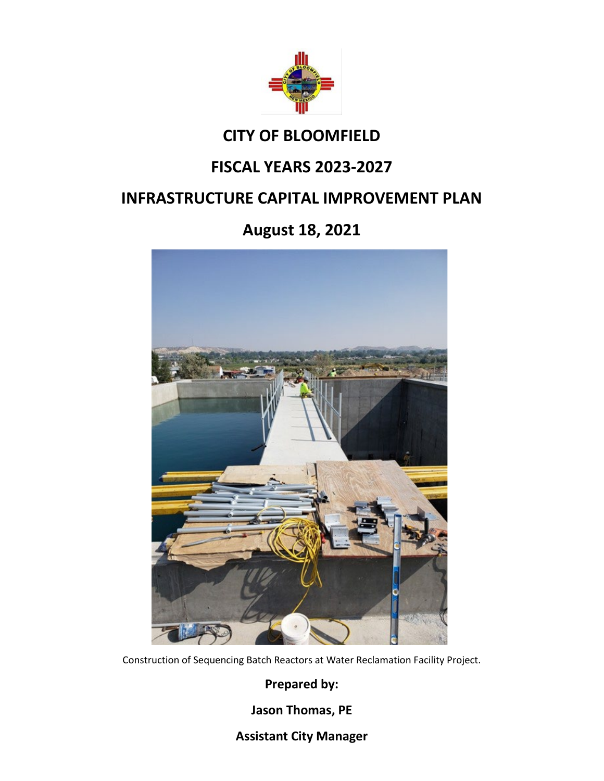

# **CITY OF BLOOMFIELD**

# **FISCAL YEARS 2023-2027**

# **INFRASTRUCTURE CAPITAL IMPROVEMENT PLAN**

# **August 18, 2021**



Construction of Sequencing Batch Reactors at Water Reclamation Facility Project.

**Prepared by:**

**Jason Thomas, PE**

**Assistant City Manager**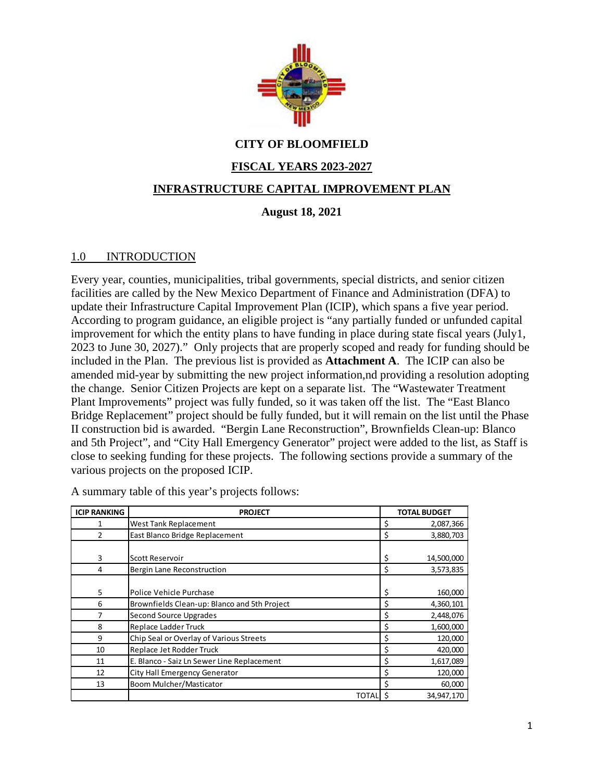

# **CITY OF BLOOMFIELD**

# **FISCAL YEARS 2023-2027**

## **INFRASTRUCTURE CAPITAL IMPROVEMENT PLAN**

## **August 18, 2021**

#### 1.0 INTRODUCTION

Every year, counties, municipalities, tribal governments, special districts, and senior citizen facilities are called by the New Mexico Department of Finance and Administration (DFA) to update their Infrastructure Capital Improvement Plan (ICIP), which spans a five year period. According to program guidance, an eligible project is "any partially funded or unfunded capital improvement for which the entity plans to have funding in place during state fiscal years (July1, 2023 to June 30, 2027)." Only projects that are properly scoped and ready for funding should be included in the Plan. The previous list is provided as **Attachment A**. The ICIP can also be amended mid-year by submitting the new project information,nd providing a resolution adopting the change. Senior Citizen Projects are kept on a separate list. The "Wastewater Treatment Plant Improvements" project was fully funded, so it was taken off the list. The "East Blanco Bridge Replacement" project should be fully funded, but it will remain on the list until the Phase II construction bid is awarded. "Bergin Lane Reconstruction", Brownfields Clean-up: Blanco and 5th Project", and "City Hall Emergency Generator" project were added to the list, as Staff is close to seeking funding for these projects. The following sections provide a summary of the various projects on the proposed ICIP.

| <b>ICIP RANKING</b> | <b>PROJECT</b>                               | <b>TOTAL BUDGET</b> |
|---------------------|----------------------------------------------|---------------------|
|                     | <b>West Tank Replacement</b>                 | \$<br>2,087,366     |
| $\overline{2}$      | East Blanco Bridge Replacement               | \$<br>3,880,703     |
|                     |                                              |                     |
| 3                   | Scott Reservoir                              | \$<br>14,500,000    |
| 4                   | Bergin Lane Reconstruction                   | \$<br>3,573,835     |
|                     |                                              |                     |
| 5                   | Police Vehicle Purchase                      | \$<br>160,000       |
| 6                   | Brownfields Clean-up: Blanco and 5th Project | \$<br>4,360,101     |
| 7                   | <b>Second Source Upgrades</b>                | \$<br>2,448,076     |
| 8                   | Replace Ladder Truck                         | \$<br>1,600,000     |
| 9                   | Chip Seal or Overlay of Various Streets      | \$<br>120,000       |
| 10                  | Replace Jet Rodder Truck                     | \$<br>420,000       |
| 11                  | E. Blanco - Saiz Ln Sewer Line Replacement   | \$<br>1,617,089     |
| 12                  | City Hall Emergency Generator                | \$<br>120,000       |
| 13                  | Boom Mulcher/Masticator                      | \$<br>60,000        |
|                     | <b>TOTALI</b>                                | 34,947,170          |

A summary table of this year's projects follows: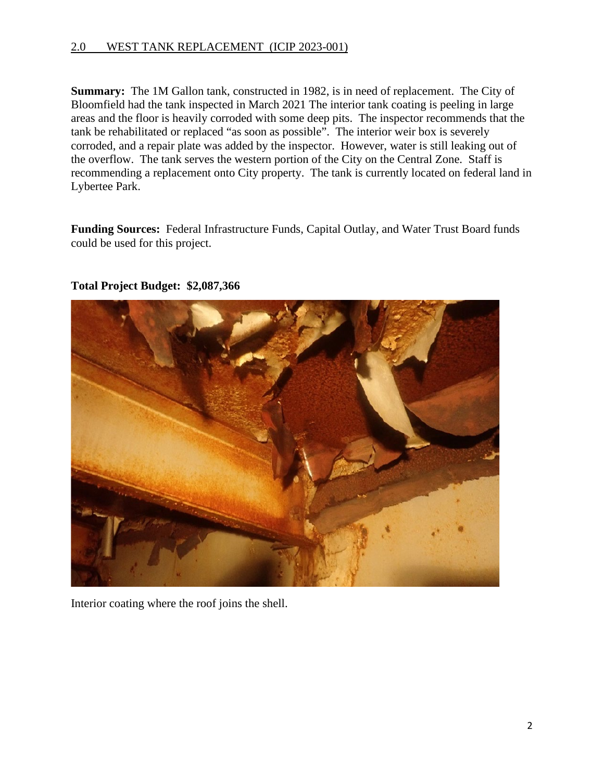#### 2.0 WEST TANK REPLACEMENT (ICIP 2023-001)

**Summary:** The 1M Gallon tank, constructed in 1982, is in need of replacement.The City of Bloomfield had the tank inspected in March 2021 The interior tank coating is peeling in large areas and the floor is heavily corroded with some deep pits. The inspector recommends that the tank be rehabilitated or replaced "as soon as possible". The interior weir box is severely corroded, and a repair plate was added by the inspector. However, water is still leaking out of the overflow. The tank serves the western portion of the City on the Central Zone. Staff is recommending a replacement onto City property. The tank is currently located on federal land in Lybertee Park.

**Funding Sources:** Federal Infrastructure Funds, Capital Outlay, and Water Trust Board funds could be used for this project.



#### **Total Project Budget: \$2,087,366**

Interior coating where the roof joins the shell.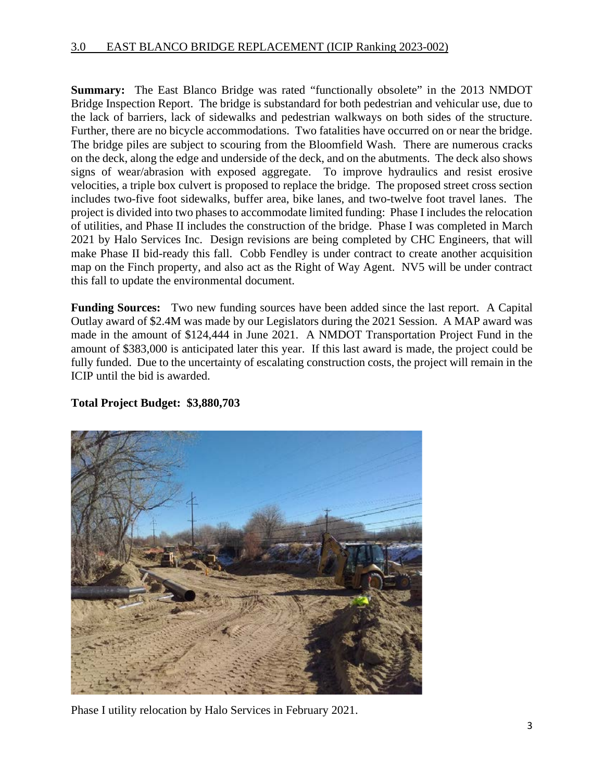#### 3.0 EAST BLANCO BRIDGE REPLACEMENT (ICIP Ranking 2023-002)

**Summary:** The East Blanco Bridge was rated "functionally obsolete" in the 2013 NMDOT Bridge Inspection Report. The bridge is substandard for both pedestrian and vehicular use, due to the lack of barriers, lack of sidewalks and pedestrian walkways on both sides of the structure. Further, there are no bicycle accommodations. Two fatalities have occurred on or near the bridge. The bridge piles are subject to scouring from the Bloomfield Wash. There are numerous cracks on the deck, along the edge and underside of the deck, and on the abutments. The deck also shows signs of wear/abrasion with exposed aggregate. To improve hydraulics and resist erosive velocities, a triple box culvert is proposed to replace the bridge. The proposed street cross section includes two-five foot sidewalks, buffer area, bike lanes, and two-twelve foot travel lanes. The project is divided into two phases to accommodate limited funding: Phase I includes the relocation of utilities, and Phase II includes the construction of the bridge. Phase I was completed in March 2021 by Halo Services Inc. Design revisions are being completed by CHC Engineers, that will make Phase II bid-ready this fall. Cobb Fendley is under contract to create another acquisition map on the Finch property, and also act as the Right of Way Agent. NV5 will be under contract this fall to update the environmental document.

**Funding Sources:** Two new funding sources have been added since the last report. A Capital Outlay award of \$2.4M was made by our Legislators during the 2021 Session. A MAP award was made in the amount of \$124,444 in June 2021. A NMDOT Transportation Project Fund in the amount of \$383,000 is anticipated later this year. If this last award is made, the project could be fully funded. Due to the uncertainty of escalating construction costs, the project will remain in the ICIP until the bid is awarded.

## **Total Project Budget: \$3,880,703**



Phase I utility relocation by Halo Services in February 2021.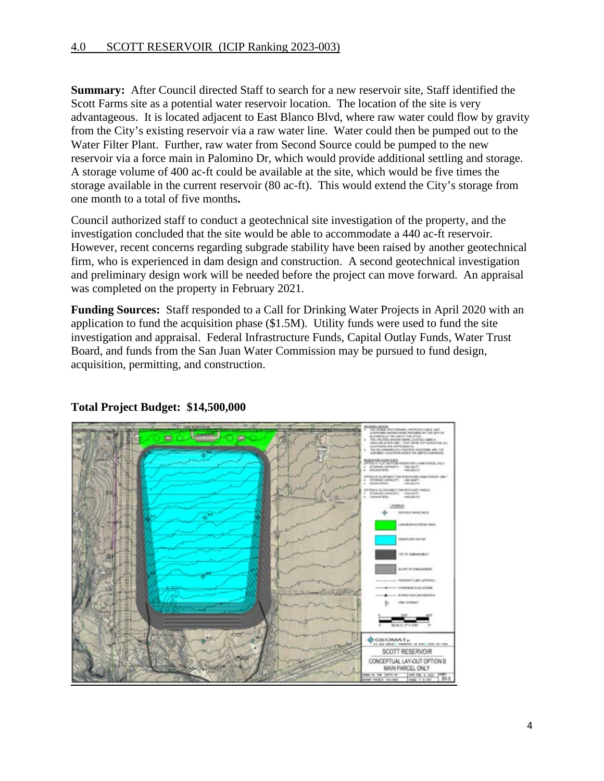**Summary:** After Council directed Staff to search for a new reservoir site, Staff identified the Scott Farms site as a potential water reservoir location. The location of the site is very advantageous. It is located adjacent to East Blanco Blvd, where raw water could flow by gravity from the City's existing reservoir via a raw water line. Water could then be pumped out to the Water Filter Plant. Further, raw water from Second Source could be pumped to the new reservoir via a force main in Palomino Dr, which would provide additional settling and storage. A storage volume of 400 ac-ft could be available at the site, which would be five times the storage available in the current reservoir (80 ac-ft). This would extend the City's storage from one month to a total of five months**.** 

Council authorized staff to conduct a geotechnical site investigation of the property, and the investigation concluded that the site would be able to accommodate a 440 ac-ft reservoir. However, recent concerns regarding subgrade stability have been raised by another geotechnical firm, who is experienced in dam design and construction. A second geotechnical investigation and preliminary design work will be needed before the project can move forward. An appraisal was completed on the property in February 2021.

**Funding Sources:** Staff responded to a Call for Drinking Water Projects in April 2020 with an application to fund the acquisition phase (\$1.5M). Utility funds were used to fund the site investigation and appraisal. Federal Infrastructure Funds, Capital Outlay Funds, Water Trust Board, and funds from the San Juan Water Commission may be pursued to fund design, acquisition, permitting, and construction.



## **Total Project Budget: \$14,500,000**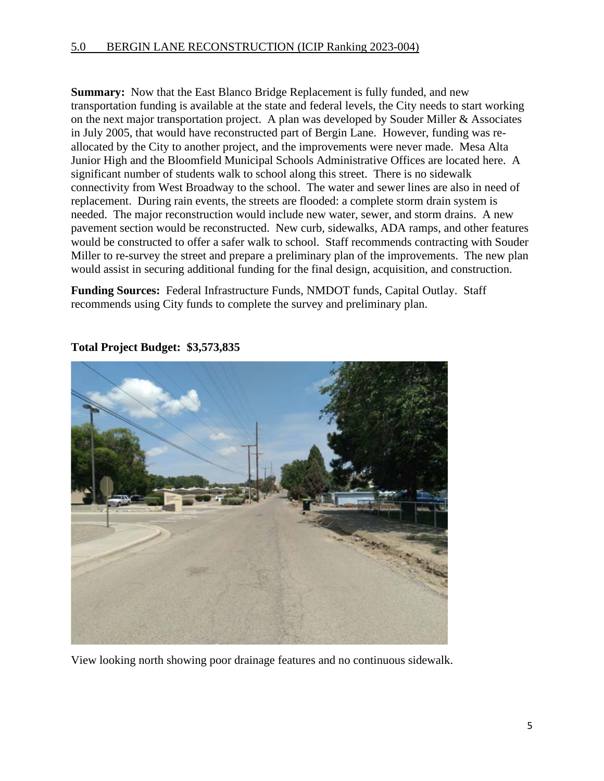**Summary:** Now that the East Blanco Bridge Replacement is fully funded, and new transportation funding is available at the state and federal levels, the City needs to start working on the next major transportation project. A plan was developed by Souder Miller & Associates in July 2005, that would have reconstructed part of Bergin Lane. However, funding was reallocated by the City to another project, and the improvements were never made. Mesa Alta Junior High and the Bloomfield Municipal Schools Administrative Offices are located here. A significant number of students walk to school along this street. There is no sidewalk connectivity from West Broadway to the school. The water and sewer lines are also in need of replacement. During rain events, the streets are flooded: a complete storm drain system is needed. The major reconstruction would include new water, sewer, and storm drains. A new pavement section would be reconstructed. New curb, sidewalks, ADA ramps, and other features would be constructed to offer a safer walk to school. Staff recommends contracting with Souder Miller to re-survey the street and prepare a preliminary plan of the improvements. The new plan would assist in securing additional funding for the final design, acquisition, and construction.

**Funding Sources:** Federal Infrastructure Funds, NMDOT funds, Capital Outlay. Staff recommends using City funds to complete the survey and preliminary plan.



**Total Project Budget: \$3,573,835** 

View looking north showing poor drainage features and no continuous sidewalk.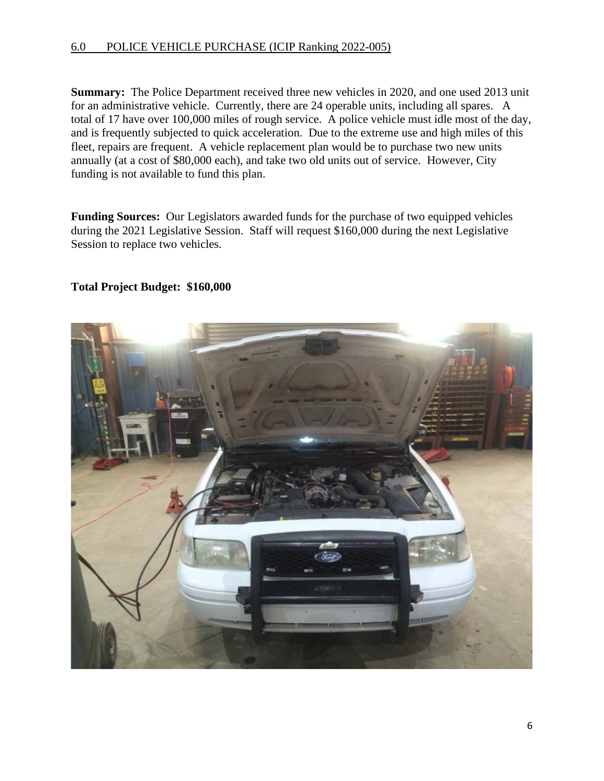#### 6.0 POLICE VEHICLE PURCHASE (ICIP Ranking 2022-005)

**Summary:** The Police Department received three new vehicles in 2020, and one used 2013 unit for an administrative vehicle. Currently, there are 24 operable units, including all spares. A total of 17 have over 100,000 miles of rough service. A police vehicle must idle most of the day, and is frequently subjected to quick acceleration. Due to the extreme use and high miles of this fleet, repairs are frequent. A vehicle replacement plan would be to purchase two new units annually (at a cost of \$80,000 each), and take two old units out of service. However, City funding is not available to fund this plan.

**Funding Sources:** Our Legislators awarded funds for the purchase of two equipped vehicles during the 2021 Legislative Session. Staff will request \$160,000 during the next Legislative Session to replace two vehicles.

#### **Total Project Budget: \$160,000**

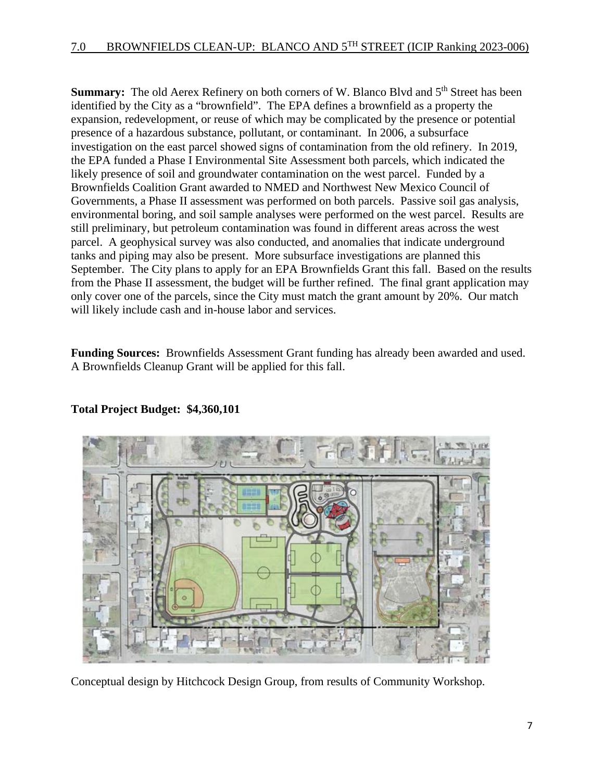**Summary:** The old Aerex Refinery on both corners of W. Blanco Blvd and 5<sup>th</sup> Street has been identified by the City as a "brownfield". The EPA defines a brownfield as a property the expansion, redevelopment, or reuse of which may be complicated by the presence or potential presence of a hazardous substance, pollutant, or contaminant. In 2006, a subsurface investigation on the east parcel showed signs of contamination from the old refinery. In 2019, the EPA funded a Phase I Environmental Site Assessment both parcels, which indicated the likely presence of soil and groundwater contamination on the west parcel. Funded by a Brownfields Coalition Grant awarded to NMED and Northwest New Mexico Council of Governments, a Phase II assessment was performed on both parcels. Passive soil gas analysis, environmental boring, and soil sample analyses were performed on the west parcel. Results are still preliminary, but petroleum contamination was found in different areas across the west parcel. A geophysical survey was also conducted, and anomalies that indicate underground tanks and piping may also be present. More subsurface investigations are planned this September. The City plans to apply for an EPA Brownfields Grant this fall. Based on the results from the Phase II assessment, the budget will be further refined. The final grant application may only cover one of the parcels, since the City must match the grant amount by 20%. Our match will likely include cash and in-house labor and services.

**Funding Sources:** Brownfields Assessment Grant funding has already been awarded and used. A Brownfields Cleanup Grant will be applied for this fall.



# **Total Project Budget: \$4,360,101**

Conceptual design by Hitchcock Design Group, from results of Community Workshop.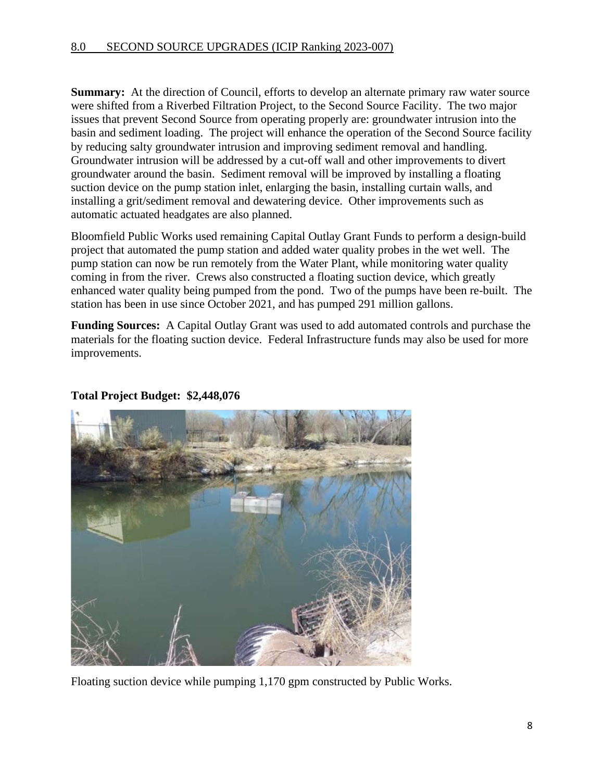**Summary:** At the direction of Council, efforts to develop an alternate primary raw water source were shifted from a Riverbed Filtration Project, to the Second Source Facility. The two major issues that prevent Second Source from operating properly are: groundwater intrusion into the basin and sediment loading. The project will enhance the operation of the Second Source facility by reducing salty groundwater intrusion and improving sediment removal and handling. Groundwater intrusion will be addressed by a cut-off wall and other improvements to divert groundwater around the basin. Sediment removal will be improved by installing a floating suction device on the pump station inlet, enlarging the basin, installing curtain walls, and installing a grit/sediment removal and dewatering device. Other improvements such as automatic actuated headgates are also planned.

Bloomfield Public Works used remaining Capital Outlay Grant Funds to perform a design-build project that automated the pump station and added water quality probes in the wet well. The pump station can now be run remotely from the Water Plant, while monitoring water quality coming in from the river. Crews also constructed a floating suction device, which greatly enhanced water quality being pumped from the pond. Two of the pumps have been re-built. The station has been in use since October 2021, and has pumped 291 million gallons.

**Funding Sources:** A Capital Outlay Grant was used to add automated controls and purchase the materials for the floating suction device. Federal Infrastructure funds may also be used for more improvements.



#### **Total Project Budget: \$2,448,076**

Floating suction device while pumping 1,170 gpm constructed by Public Works.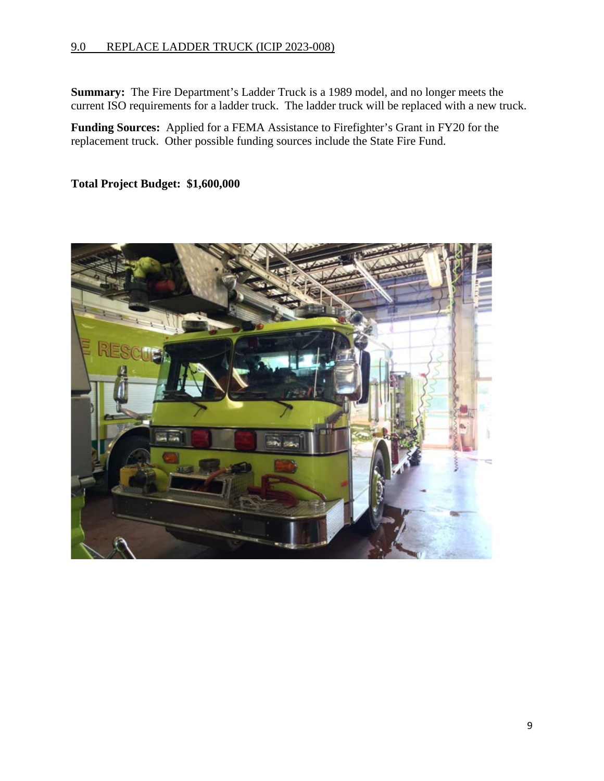#### 9.0 REPLACE LADDER TRUCK (ICIP 2023-008)

**Summary:** The Fire Department's Ladder Truck is a 1989 model, and no longer meets the current ISO requirements for a ladder truck. The ladder truck will be replaced with a new truck.

**Funding Sources:** Applied for a FEMA Assistance to Firefighter's Grant in FY20 for the replacement truck. Other possible funding sources include the State Fire Fund.

**Total Project Budget: \$1,600,000** 

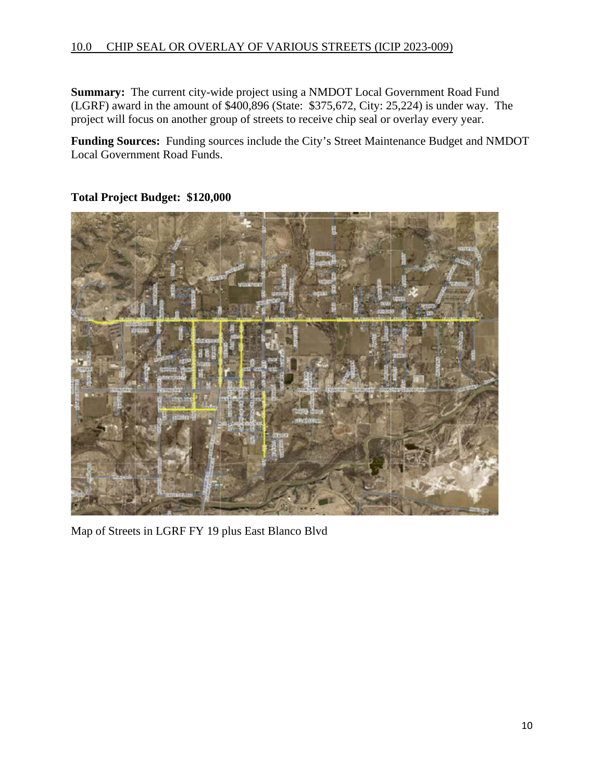#### 10.0 CHIP SEAL OR OVERLAY OF VARIOUS STREETS (ICIP 2023-009)

**Summary:** The current city-wide project using a NMDOT Local Government Road Fund (LGRF) award in the amount of \$400,896 (State: \$375,672, City: 25,224) is under way. The project will focus on another group of streets to receive chip seal or overlay every year.

**Funding Sources:** Funding sources include the City's Street Maintenance Budget and NMDOT Local Government Road Funds.



**Total Project Budget: \$120,000** 

Map of Streets in LGRF FY 19 plus East Blanco Blvd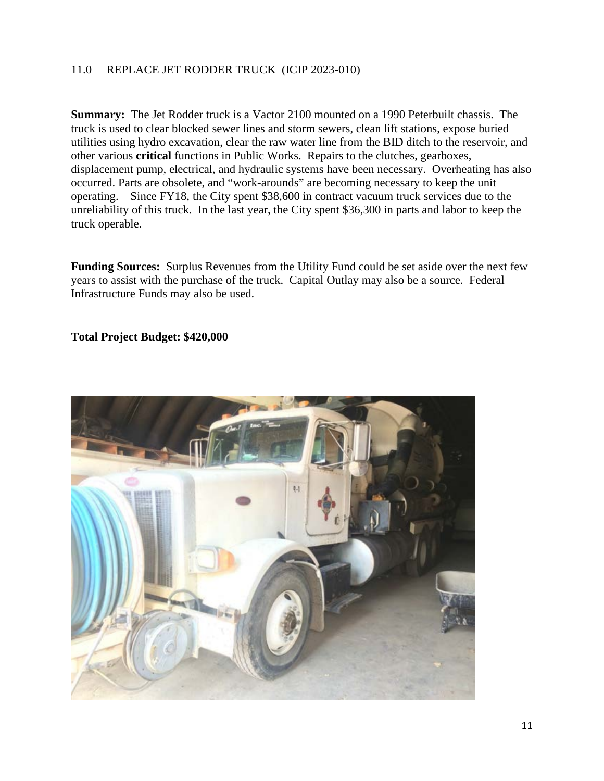# 11.0 REPLACE JET RODDER TRUCK (ICIP 2023-010)

**Summary:** The Jet Rodder truck is a Vactor 2100 mounted on a 1990 Peterbuilt chassis. The truck is used to clear blocked sewer lines and storm sewers, clean lift stations, expose buried utilities using hydro excavation, clear the raw water line from the BID ditch to the reservoir, and other various **critical** functions in Public Works. Repairs to the clutches, gearboxes, displacement pump, electrical, and hydraulic systems have been necessary. Overheating has also occurred. Parts are obsolete, and "work-arounds" are becoming necessary to keep the unit operating. Since FY18, the City spent \$38,600 in contract vacuum truck services due to the unreliability of this truck. In the last year, the City spent \$36,300 in parts and labor to keep the truck operable.

**Funding Sources:** Surplus Revenues from the Utility Fund could be set aside over the next few years to assist with the purchase of the truck. Capital Outlay may also be a source. Federal Infrastructure Funds may also be used.

## **Total Project Budget: \$420,000**

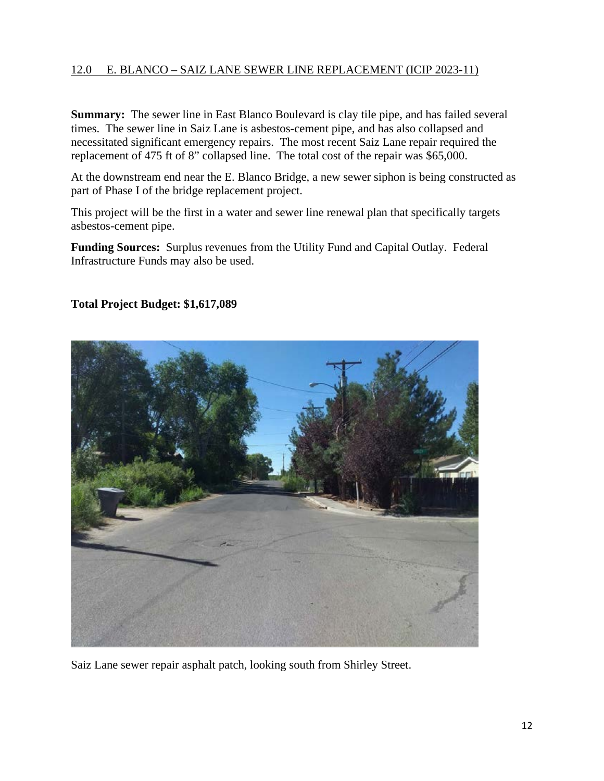# 12.0 E. BLANCO – SAIZ LANE SEWER LINE REPLACEMENT (ICIP 2023-11)

**Summary:** The sewer line in East Blanco Boulevard is clay tile pipe, and has failed several times. The sewer line in Saiz Lane is asbestos-cement pipe, and has also collapsed and necessitated significant emergency repairs. The most recent Saiz Lane repair required the replacement of 475 ft of 8" collapsed line. The total cost of the repair was \$65,000.

At the downstream end near the E. Blanco Bridge, a new sewer siphon is being constructed as part of Phase I of the bridge replacement project.

This project will be the first in a water and sewer line renewal plan that specifically targets asbestos-cement pipe.

**Funding Sources:** Surplus revenues from the Utility Fund and Capital Outlay. Federal Infrastructure Funds may also be used.

## **Total Project Budget: \$1,617,089**



Saiz Lane sewer repair asphalt patch, looking south from Shirley Street.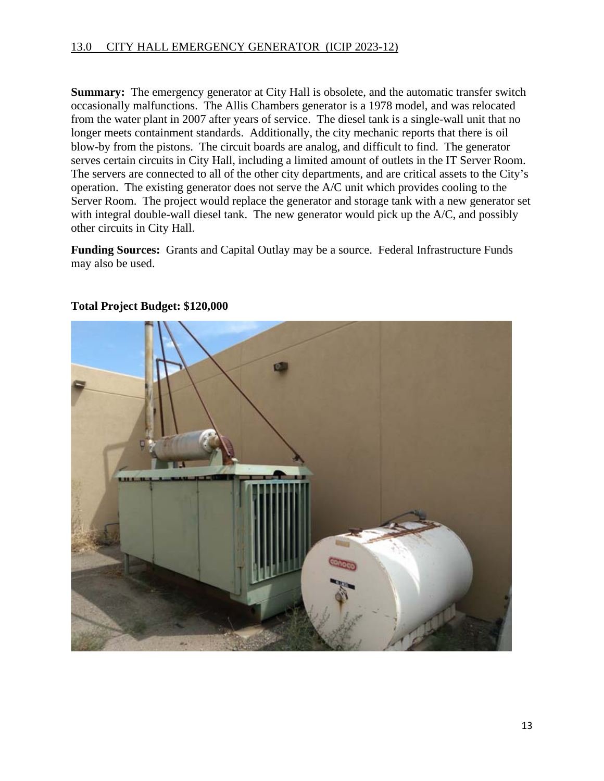**Summary:** The emergency generator at City Hall is obsolete, and the automatic transfer switch occasionally malfunctions. The Allis Chambers generator is a 1978 model, and was relocated from the water plant in 2007 after years of service. The diesel tank is a single-wall unit that no longer meets containment standards. Additionally, the city mechanic reports that there is oil blow-by from the pistons. The circuit boards are analog, and difficult to find. The generator serves certain circuits in City Hall, including a limited amount of outlets in the IT Server Room. The servers are connected to all of the other city departments, and are critical assets to the City's operation. The existing generator does not serve the A/C unit which provides cooling to the Server Room. The project would replace the generator and storage tank with a new generator set with integral double-wall diesel tank. The new generator would pick up the A/C, and possibly other circuits in City Hall.

**Funding Sources:** Grants and Capital Outlay may be a source. Federal Infrastructure Funds may also be used.



## **Total Project Budget: \$120,000**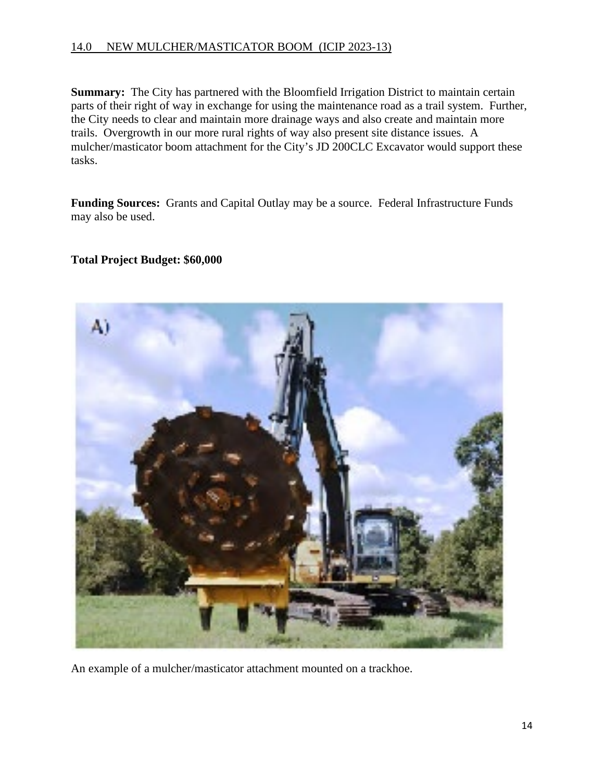### 14.0 NEW MULCHER/MASTICATOR BOOM (ICIP 2023-13)

**Summary:** The City has partnered with the Bloomfield Irrigation District to maintain certain parts of their right of way in exchange for using the maintenance road as a trail system. Further, the City needs to clear and maintain more drainage ways and also create and maintain more trails. Overgrowth in our more rural rights of way also present site distance issues. A mulcher/masticator boom attachment for the City's JD 200CLC Excavator would support these tasks.

**Funding Sources:** Grants and Capital Outlay may be a source. Federal Infrastructure Funds may also be used.

#### **Total Project Budget: \$60,000**



An example of a mulcher/masticator attachment mounted on a trackhoe.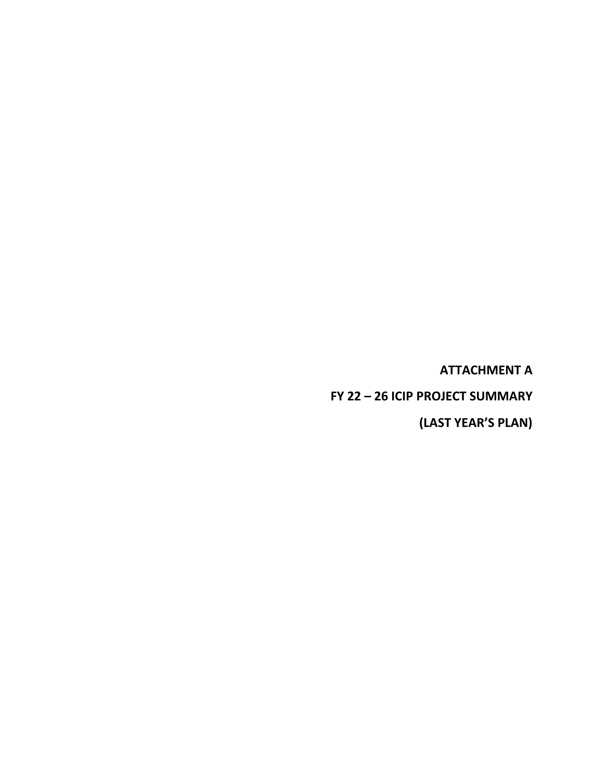**ATTACHMENT A** 

**FY 22 – 26 ICIP PROJECT SUMMARY**

**(LAST YEAR'S PLAN)**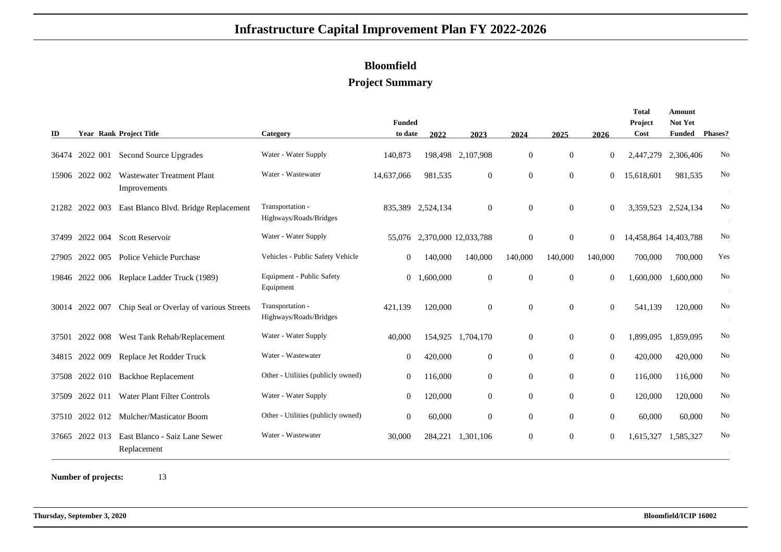# **Bloomfield**

### **Project Summary**

|       |          |                                                   |                                            | <b>Funded</b>  |                      |                   |                |                  |                | Total<br>Project      | Amount<br>Not Yet |                |
|-------|----------|---------------------------------------------------|--------------------------------------------|----------------|----------------------|-------------------|----------------|------------------|----------------|-----------------------|-------------------|----------------|
| ID    |          | <b>Year Rank Project Title</b>                    | Category                                   | to date        | 2022                 | 2023              | 2024           | 2025             | 2026           | Cost                  | <b>Funded</b>     | Phases?        |
| 36474 | 2022 001 | Second Source Upgrades                            | Water - Water Supply                       | 140,873        |                      | 198,498 2,107,908 | $\mathbf{0}$   | $\overline{0}$   | $\overline{0}$ | 2,447,279             | 2,306,406         | No             |
| 15906 | 2022 002 | <b>Wastewater Treatment Plant</b><br>Improvements | Water - Wastewater                         | 14,637,066     | 981,535              | $\mathbf{0}$      | $\overline{0}$ | $\overline{0}$   | $\overline{0}$ | 15,618,601            | 981,535           | No             |
| 21282 | 2022 003 | East Blanco Blvd. Bridge Replacement              | Transportation -<br>Highways/Roads/Bridges | 835,389        | 2,524,134            | $\mathbf{0}$      | $\Omega$       | $\overline{0}$   | $\mathbf{0}$   | 3,359,523             | 2,524,134         | No             |
| 37499 | 2022 004 | <b>Scott Reservoir</b>                            | Water - Water Supply                       | 55,076         | 2,370,000 12,033,788 |                   | $\Omega$       | $\mathbf{0}$     | $\mathbf{0}$   | 14,458,864 14,403,788 |                   | No             |
| 27905 | 2022 005 | Police Vehicle Purchase                           | Vehicles - Public Safety Vehicle           | $\overline{0}$ | 140,000              | 140,000           | 140,000        | 140,000          | 140,000        | 700,000               | 700,000           | Yes            |
| 19846 |          | 2022 006 Replace Ladder Truck (1989)              | Equipment - Public Safety<br>Equipment     | $\overline{0}$ | 1,600,000            | $\boldsymbol{0}$  | $\mathbf{0}$   | $\overline{0}$   | $\overline{0}$ | ,600,000              | 1,600,000         | No             |
| 30014 | 2022 007 | Chip Seal or Overlay of various Streets           | Transportation -<br>Highways/Roads/Bridges | 421,139        | 120,000              | $\boldsymbol{0}$  | $\Omega$       | $\mathbf{0}$     | $\mathbf{0}$   | 541,139               | 120,000           | No             |
| 37501 | 2022 008 | West Tank Rehab/Replacement                       | Water - Water Supply                       | 40,000         | 154,925              | 1.704.170         | $\Omega$       | $\overline{0}$   | $\mathbf{0}$   | 1,899,095             | 1.859.095         | No             |
| 34815 | 2022 009 | Replace Jet Rodder Truck                          | Water - Wastewater                         | $\mathbf{0}$   | 420,000              | $\mathbf{0}$      | $\overline{0}$ | $\overline{0}$   | $\overline{0}$ | 420,000               | 420,000           | No             |
| 37508 |          | 2022 010 Backhoe Replacement                      | Other - Utilities (publicly owned)         | $\mathbf{0}$   | 116,000              | $\mathbf{0}$      | $\overline{0}$ | $\overline{0}$   | $\mathbf{0}$   | 116,000               | 116,000           | No             |
| 37509 | 2022 011 | Water Plant Filter Controls                       | Water - Water Supply                       | $\mathbf{0}$   | 120,000              | $\mathbf{0}$      | $\Omega$       | $\Omega$         | $\overline{0}$ | 120,000               | 120,000           | No             |
| 37510 |          | 2022 012 Mulcher/Masticator Boom                  | Other - Utilities (publicly owned)         | $\mathbf{0}$   | 60,000               | $\mathbf{0}$      | $\overline{0}$ | $\overline{0}$   | $\overline{0}$ | 60,000                | 60,000            | N <sub>o</sub> |
| 37665 | 2022 013 | East Blanco - Saiz Lane Sewer<br>Replacement      | Water - Wastewater                         | 30,000         | 284,221              | 1,301,106         | $\mathbf{0}$   | $\boldsymbol{0}$ | $\overline{0}$ | 1,615,327             | 1,585,327         | No             |

**Number of projects:**<sup>13</sup>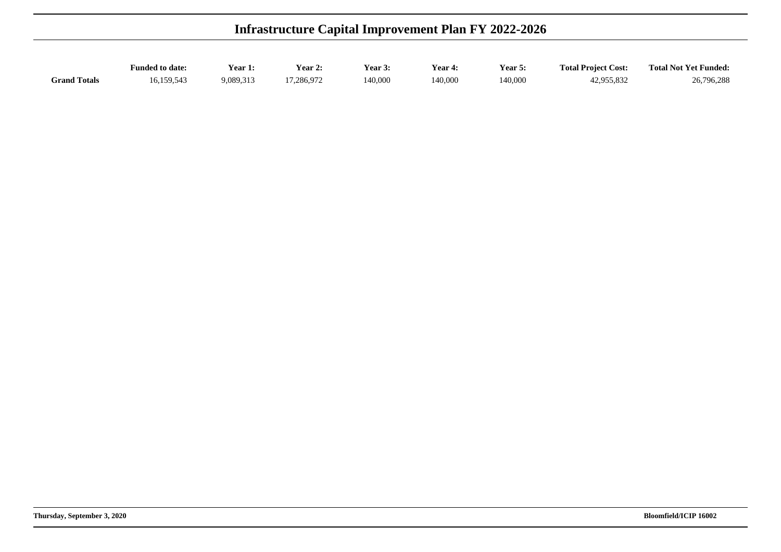| <b>Infrastructure Capital Improvement Plan FY 2022-2026</b> |                        |                |            |         |         |         |                            |                              |  |
|-------------------------------------------------------------|------------------------|----------------|------------|---------|---------|---------|----------------------------|------------------------------|--|
|                                                             | <b>Funded to date:</b> | <b>Year 1:</b> | Year 2:    | Year 3: | Year 4: | Year 5: | <b>Total Project Cost:</b> | <b>Total Not Yet Funded:</b> |  |
| <b>Grand Totals</b>                                         | 16.159.543             | 9.089.313      | 17.286.972 | 140,000 | 140,000 | 140,000 | 42,955,832                 | 26,796,288                   |  |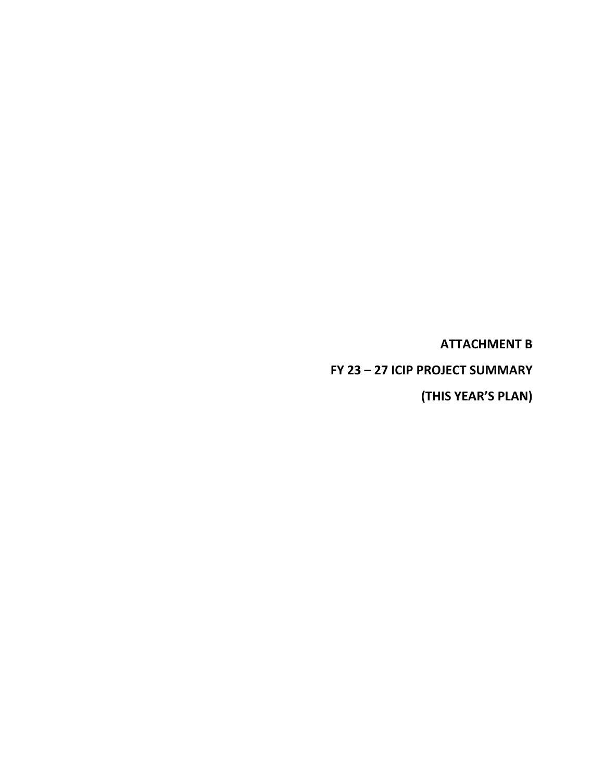**ATTACHMENT B** 

**FY 23 – 27 ICIP PROJECT SUMMARY**

**(THIS YEAR'S PLAN)**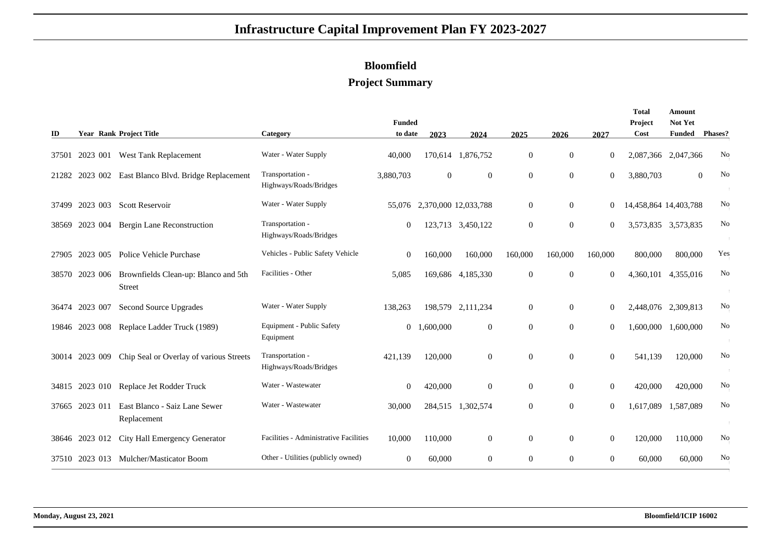# **Bloomfield**

### **Project Summary**

| ID    |                | <b>Year Rank Project Title</b>                        | Category                                   | <b>Funded</b><br>to date | 2023      | 2024                 | 2025           | 2026             | 2027             | Total<br>Project<br>Cost | Amount<br>Not Yet<br><b>Funded</b> | Phases?        |
|-------|----------------|-------------------------------------------------------|--------------------------------------------|--------------------------|-----------|----------------------|----------------|------------------|------------------|--------------------------|------------------------------------|----------------|
| 37501 |                | 2023 001 West Tank Replacement                        | Water - Water Supply                       | 40,000                   |           | 170,614 1,876,752    | $\overline{0}$ | $\overline{0}$   | $\overline{0}$   | 2,087,366 2,047,366      |                                    | No             |
| 21282 | 2023 002       | East Blanco Blvd. Bridge Replacement                  | Transportation -<br>Highways/Roads/Bridges | 3,880,703                | $\Omega$  | $\boldsymbol{0}$     | $\overline{0}$ | $\overline{0}$   | $\overline{0}$   | 3,880,703                |                                    | No<br>$\Omega$ |
| 37499 | 2023 003       | <b>Scott Reservoir</b>                                | Water - Water Supply                       | 55,076                   |           | 2,370,000 12,033,788 | $\overline{0}$ | $\overline{0}$   | $\bf{0}$         | 14,458,864 14,403,788    |                                    | No             |
| 38569 | 2023 004       | Bergin Lane Reconstruction                            | Transportation -<br>Highways/Roads/Bridges | $\mathbf{0}$             | 123,713   | 3,450,122            | $\mathbf{0}$   | $\boldsymbol{0}$ | $\boldsymbol{0}$ | 3,573,835 3,573,835      |                                    | No             |
| 27905 | 2023 005       | Police Vehicle Purchase                               | Vehicles - Public Safety Vehicle           | $\mathbf{0}$             | 160,000   | 160,000              | 160,000        | 160,000          | 160,000          | 800,000                  | 800,000                            | Yes            |
| 38570 | 2023 006       | Brownfields Clean-up: Blanco and 5th<br><b>Street</b> | Facilities - Other                         | 5,085                    |           | 169,686 4,185,330    | $\mathbf{0}$   | $\overline{0}$   | $\mathbf{0}$     | 4,360,101                | 4,355,016                          | No             |
| 36474 | 2023 007       | Second Source Upgrades                                | Water - Water Supply                       | 138,263                  |           | 198,579 2,111,234    | $\overline{0}$ | $\mathbf{0}$     | $\overline{0}$   | 2,448,076 2,309,813      |                                    | No             |
|       | 19846 2023 008 | Replace Ladder Truck (1989)                           | Equipment - Public Safety<br>Equipment     | $\overline{0}$           | 1,600,000 | $\mathbf{0}$         | $\Omega$       | $\Omega$         | $\mathbf{0}$     | 1,600,000                | 1,600,000                          | No             |
|       | 30014 2023 009 | Chip Seal or Overlay of various Streets               | Transportation -<br>Highways/Roads/Bridges | 421,139                  | 120,000   | $\boldsymbol{0}$     | $\mathbf{0}$   | $\overline{0}$   | $\mathbf{0}$     | 541,139                  | 120,000                            | No             |
| 34815 | 2023 010       | Replace Jet Rodder Truck                              | Water - Wastewater                         | $\overline{0}$           | 420,000   | $\boldsymbol{0}$     | $\overline{0}$ | $\overline{0}$   | $\mathbf{0}$     | 420,000                  | 420,000                            | No             |
| 37665 | 2023 011       | East Blanco - Saiz Lane Sewer<br>Replacement          | Water - Wastewater                         | 30,000                   | 284,515   | 1,302,574            | $\mathbf{0}$   | $\boldsymbol{0}$ | $\overline{0}$   | 1,617,089                | 1,587,089                          | No             |
|       | 38646 2023 012 | City Hall Emergency Generator                         | Facilities - Administrative Facilities     | 10,000                   | 110,000   | $\mathbf{0}$         | $\mathbf{0}$   | $\overline{0}$   | $\overline{0}$   | 120,000                  | 110,000                            | No             |
| 37510 | 2023 013       | Mulcher/Masticator Boom                               | Other - Utilities (publicly owned)         | $\mathbf{0}$             | 60,000    | $\mathbf{0}$         | $\overline{0}$ | $\overline{0}$   | $\overline{0}$   | 60,000                   | 60,000                             | $\rm No$       |